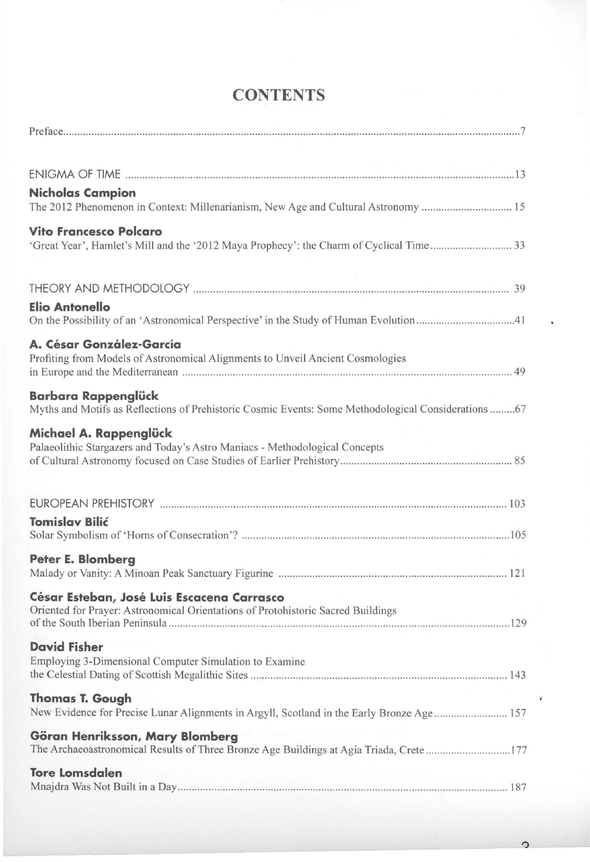| Nicholas Campion                                                                                    |
|-----------------------------------------------------------------------------------------------------|
| The 2012 Phenomenon in Context: Millenarianism, New Age and Cultural Astronomy  15                  |
| Vito Francesco Polcaro                                                                              |
| 'Great Year', Hamlet's Mill and the '2012 Maya Prophecy': the Charm of Cyclical Time33              |
|                                                                                                     |
| Elio Antonello                                                                                      |
| On the Possibility of an 'Astronomical Perspective' in the Study of Human Evolution41               |
| A. César González-García                                                                            |
| Profiting from Models of Astronomical Alignments to Unveil Ancient Cosmologies                      |
| Barbara Rappenglück                                                                                 |
| Myths and Motifs as Reflections of Prehistoric Cosmic Events: Some Methodological Considerations 67 |
| Michael A. Rappenglück                                                                              |
| Palaeolithic Stargazers and Today's Astro Maniacs - Methodological Concepts                         |
|                                                                                                     |
|                                                                                                     |
|                                                                                                     |
| <b>Tomislav Bilić</b>                                                                               |
| Peter E. Blomberg                                                                                   |
|                                                                                                     |
| César Esteban, José Luis Escacena Carrasco                                                          |
| Oriented for Prayer: Astronomical Orientations of Protohistoric Sacred Buildings                    |
|                                                                                                     |
| <b>David Fisher</b>                                                                                 |
| Employing 3-Dimensional Computer Simulation to Examine                                              |
| <b>Thomas T. Gough</b>                                                                              |
| New Evidence for Precise Lunar Alignments in Argyll, Scotland in the Early Bronze Age 157           |
| Göran Henriksson, Mary Blomberg                                                                     |
| The Archaeoastronomical Results of Three Bronze Age Buildings at Agia Triada, Crete177              |
| <b>Tore Lomsdalen</b>                                                                               |
|                                                                                                     |

## **CONTENTS**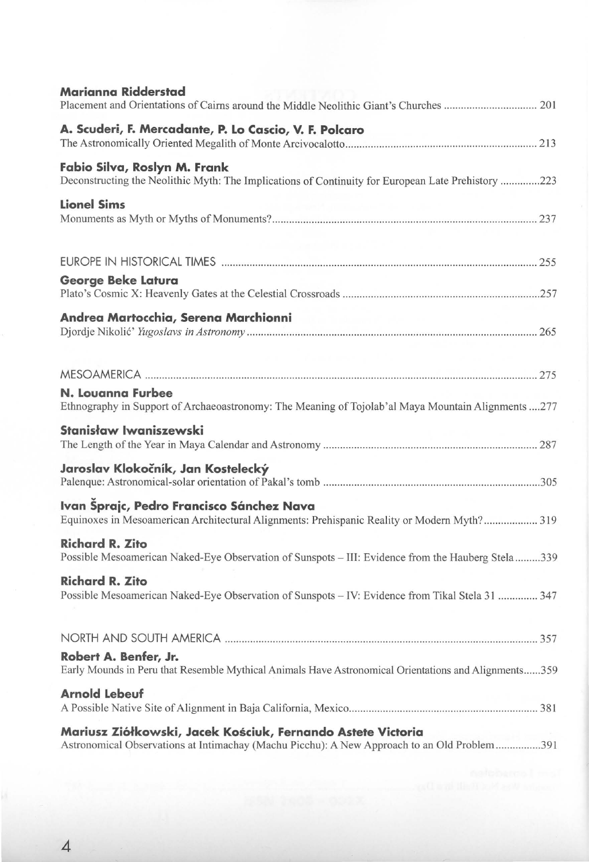| Marianna Ridderstad                                                                                                                                         |
|-------------------------------------------------------------------------------------------------------------------------------------------------------------|
| A. Scuderi, F. Mercadante, P. Lo Cascio, V. F. Polcaro                                                                                                      |
| Fabio Silva, Roslyn M. Frank<br>Deconstructing the Neolithic Myth: The Implications of Continuity for European Late Prehistory 223                          |
| <b>Lionel Sims</b>                                                                                                                                          |
|                                                                                                                                                             |
| George Beke Latura                                                                                                                                          |
| Andrea Martocchia, Serena Marchionni                                                                                                                        |
|                                                                                                                                                             |
| N. Louanna Furbee<br>Ethnography in Support of Archaeoastronomy: The Meaning of Tojolab'al Maya Mountain Alignments 277                                     |
| Stanisław Iwaniszewski                                                                                                                                      |
| Jaroslav Klokočník, Jan Kostelecký                                                                                                                          |
| Ivan Šprajc, Pedro Francisco Sánchez Nava<br>Equinoxes in Mesoamerican Architectural Alignments: Prehispanic Reality or Modern Myth? 319                    |
| <b>Richard R. Zito</b><br>Possible Mesoamerican Naked-Eye Observation of Sunspots - III: Evidence from the Hauberg Stela339                                 |
| <b>Richard R. Zito</b><br>Possible Mesoamerican Naked-Eye Observation of Sunspots - IV: Evidence from Tikal Stela 31  347                                   |
|                                                                                                                                                             |
| Robert A. Benfer, Jr.<br>Early Mounds in Peru that Resemble Mythical Animals Have Astronomical Orientations and Alignments359                               |
| <b>Arnold Lebeuf</b>                                                                                                                                        |
| Mariusz Ziółkowski, Jacek Kościuk, Fernando Astete Victoria<br>Astronomical Observations at Intimachay (Machu Picchu): A New Approach to an Old Problem 391 |